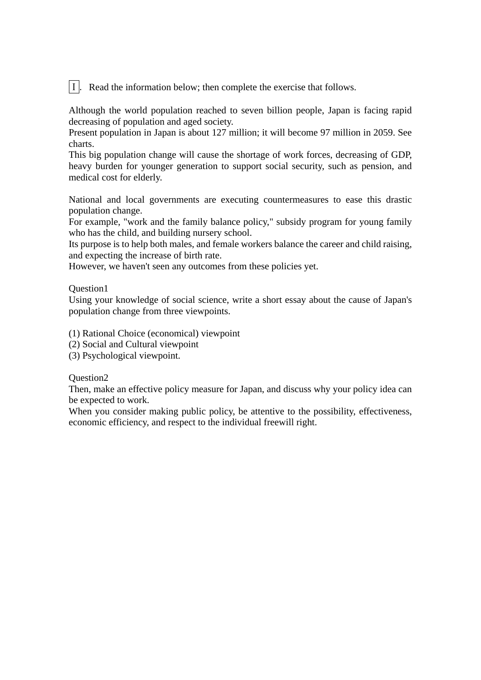Ⅰ.Read the information below; then complete the exercise that follows.

Although the world population reached to seven billion people, Japan is facing rapid decreasing of population and aged society.

Present population in Japan is about 127 million; it will become 97 million in 2059. See charts.

This big population change will cause the shortage of work forces, decreasing of GDP, heavy burden for younger generation to support social security, such as pension, and medical cost for elderly.

National and local governments are executing countermeasures to ease this drastic population change.

For example, "work and the family balance policy," subsidy program for young family who has the child, and building nursery school.

Its purpose is to help both males, and female workers balance the career and child raising, and expecting the increase of birth rate.

However, we haven't seen any outcomes from these policies yet.

Question1

Using your knowledge of social science, write a short essay about the cause of Japan's population change from three viewpoints.

(1) Rational Choice (economical) viewpoint

- (2) Social and Cultural viewpoint
- (3) Psychological viewpoint.

Question2

Then, make an effective policy measure for Japan, and discuss why your policy idea can be expected to work.

When you consider making public policy, be attentive to the possibility, effectiveness, economic efficiency, and respect to the individual freewill right.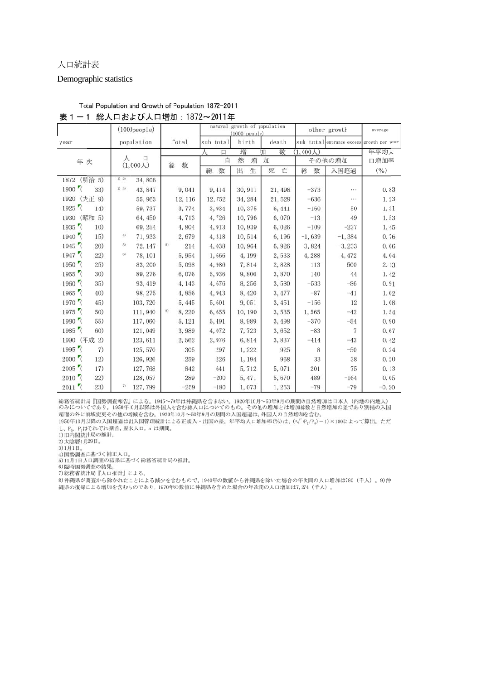#### 人口統計表

#### Demographic statistics

|                                                | $(1000)$ people $)$ |            |        |                  | natural growth of population<br>(1000 people) |        |         |       |        | other growth |         |          | average                   |          |                 |
|------------------------------------------------|---------------------|------------|--------|------------------|-----------------------------------------------|--------|---------|-------|--------|--------------|---------|----------|---------------------------|----------|-----------------|
| year                                           |                     | population |        | Total            | sub total                                     |        | birth   |       |        | death        |         |          | sub total entrance excess |          | growth per year |
|                                                |                     |            |        |                  | λ                                             | 口      | 增       |       | 加      | 数            | (1,000) |          |                           |          | 年平均人            |
| 年次                                             | 人<br>口<br>(1,000)   |            | 数<br>総 | 然<br>自<br>增<br>加 |                                               |        |         |       | その他の増加 |              |         | 口増加率     |                           |          |                 |
|                                                |                     |            |        |                  | 総                                             | 数      | 出       | 生     | 死      | 亡            | 総       | 数        | 入国超過                      |          | (% )            |
| (明治 5)<br>1872                                 | 1) 2)               | 34,806     |        |                  |                                               |        |         |       |        |              |         |          |                           |          |                 |
| $1900$ <sup><math>\sqrt{ }</math></sup><br>33) | $1)$ 3)             | 43, 847    |        | 9,041            |                                               | 9,414  | 30, 911 |       |        | 21, 498      |         | $-373$   |                           | .        | 0.83            |
| (大正 9)<br>1920                                 |                     | 55, 963    |        | 12, 116          |                                               | 12,752 | 34, 284 |       |        | 21,529       |         | $-636$   |                           | $\cdots$ | 1.23            |
| 1925<br>14)                                    |                     | 59,737     |        | 3,774            |                                               | 3,934  | 10,375  |       |        | 6,441        |         | $-160$   |                           | 50       | 1.31            |
| 1930 (昭和 5)                                    |                     | 64,450     |        | 4,713            |                                               | 4,726  | 10,796  |       |        | 6,070        |         | $-13$    |                           | 49       | 1.53            |
| $1935$ <sup>7</sup><br>10)                     |                     | 69, 254    |        | 4,804            |                                               | 4,913  | 10,939  |       |        | 6,026        |         | $-109$   |                           | $-237$   | 1.45            |
| $1940$ <sup>(</sup><br>15)                     | 4)                  | 71,933     |        | 2,679            |                                               | 4,318  | 10,514  |       |        | 6,196        |         | $-1,639$ |                           | $-1,384$ | 0.76            |
| $1945$ <sup>7</sup><br>20)                     | 5)                  | 72, 147    | 8)     | 214              |                                               | 4,038  | 10,964  |       |        | 6,926        |         | $-3,824$ |                           | $-3,233$ | 0.06            |
| $1947$ <sup>7</sup><br>22)                     | 6)                  | 78, 101    |        | 5,954            |                                               | 1,666  |         | 4,199 |        | 2,533        |         | 4,288    |                           | 4,472    | 4.04            |
| $1950$ <sup>7</sup><br>25)                     |                     | 83, 200    |        | 5,098            |                                               | 4,986  |         | 7,814 |        | 2,828        |         | 113      |                           | 500      | 2.13            |
| $1955$ <sup>(</sup><br>30)                     |                     | 89, 276    |        | 6,076            |                                               | 5,936  |         | 9,806 |        | 3,870        |         | 140      |                           | 44       | 1.42            |
| $1960$ <sup>(</sup><br>35)                     |                     | 93, 419    |        | 4, 143           |                                               | 4,676  |         | 8,256 |        | 3,580        |         | $-533$   |                           | $-86$    | 0.91            |
| 1965<br>40)                                    |                     | 98, 275    |        | 4,856            |                                               | 4,943  |         | 8,420 |        | 3,477        |         | $-87$    |                           | $-41$    | 1.02            |
| $1970$ <sup>(</sup><br>45)                     |                     | 103, 720   |        | 5,445            |                                               | 5,601  |         | 9,051 |        | 3,451        |         | $-156$   |                           | 12       | 1.08            |
| 1975<br>50)                                    |                     | 111,940    | 9)     | 8,220            |                                               | 6,655  | 10, 190 |       |        | 3,535        |         | 1,565    |                           | $-42$    | 1.54            |
| $1980$ <sup>(</sup><br>55)                     |                     | 117,060    |        | 5, 121           |                                               | 5,491  |         | 8,989 |        | 3,498        |         | $-370$   |                           | $-54$    | 0.90            |
| $1985$ <sup>(</sup><br>60)                     |                     | 121,049    |        | 3,989            |                                               | 4,072  |         | 7,723 |        | 3,652        |         | $-83$    |                           | 7        | 0.67            |
| 1990 (平成 2)                                    |                     | 123, 611   |        | 2,562            |                                               | 2,976  |         | 6,814 |        | 3,837        |         | $-414$   |                           | $-43$    | 0.42            |
| $1995$ <sup>7</sup><br>7)                      |                     | 125, 570   |        | 305              |                                               | 297    |         | 1,222 |        | 925          |         | 8        |                           | $-50$    | 0.24            |
| $2000$ <sup>'</sup><br>12)                     |                     | 126, 926   |        | 259              |                                               | 226    |         | 1,194 |        | 968          |         | 33       |                           | 38       | 0.20            |
| $2005$ $\sqrt{ }$<br>17)                       |                     | 127,768    |        | 842              |                                               | 641    |         | 5,712 |        | 5,071        |         | 201      |                           | 75       | 0.13            |
| $2010$ <sup><math>\sigma</math></sup><br>22)   |                     | 128,057    |        | 289              |                                               | $-200$ |         | 5,471 |        | 5,670        |         | 489      |                           | $-164$   | 0.05            |
| $2011$ <sup>7</sup><br>23)                     | 7)                  | 127,799    |        | $-259$           |                                               | $-180$ |         | 1,073 |        | 1,253        |         | $-79$    |                           | $-79$    | $-0.20$         |

### Total Population and Growth of Population 1872-2011 表1-1 総人口および人口増加: 1872~2011年

総務省統計局『国勢調査報告』による。1945~70年は沖縄県を含まない。1920年10月~50年9月の期間の自然増加は日本人(内地の内地人)<br>のみについてであり, 1950年10月以降は外国人を含む総人口についてのもの。その他の増加とは増加総数と自然増加の差であり別掲の入国<br>超過の外に領域変更その他の増減を含む。1920年10月~50年9月の期間の入国超過は, 外国人の自然増加を含む。

1950年10月以降の入国超過は出入国管理統計による正規入·出国の差。年平均人口増加率(%)は、(=√e-1/Po)-1)×100によって算出。ただ し、P<sub>0</sub>. P<sub>1</sub>はそれぞれ期首, 期末人口, n は期間。<br>1) 旧内閣統計局の推計。

2)太陰暦1月29日。

3)1月1日。

3/1月1日。<br>4)国勢調査に基づく補正人口。<br>5)11月1日人口調査の結果に基づく総務省統計局の推計。

6)臨時国勢調査の結果。

7) 総務省統計局『人口推計』による。

8) 沖縄県が調査から除かれたことによる減少を含むもので、1940年の数値から沖縄県を除いた場合の年次間の人口増加は780 (千人)。9) 沖 縄県の復帰による増加を含むものであり, 1970年の数値に沖縄県を含めた場合の年次間の人口増加は7,274 (千人)。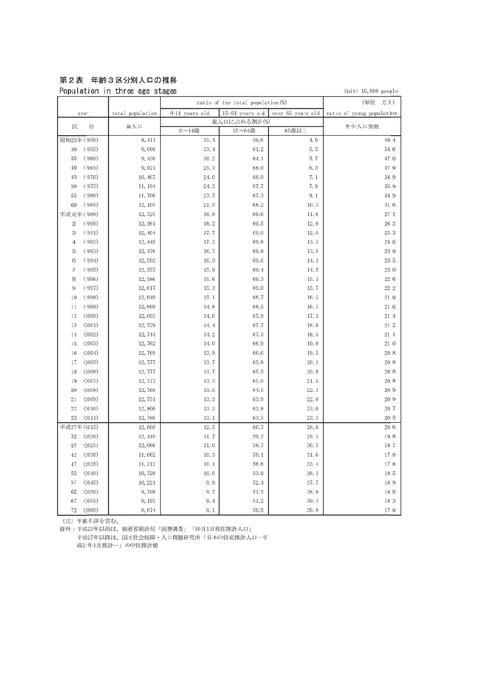## 第2表 年齢3区分別人口の推移

Population in three age stages

Unit:  $10,000$  people

| 0-14 years old<br>15-64 years old<br>over 65 years old<br>total population<br>ratio of young population<br>year |              |  |
|-----------------------------------------------------------------------------------------------------------------|--------------|--|
|                                                                                                                 |              |  |
| 総人口に占める割合(%)                                                                                                    | 年少人口指数       |  |
| 分<br>総人口<br>区<br>65歳以上<br>0~14歳<br>15~64歳                                                                       |              |  |
| 昭和25年 (1950)<br>35.4<br>8,411<br>59.6<br>4.9                                                                    | 59.4         |  |
| (1955)<br>9,008<br>33.4<br>61.2<br>5.3<br>30                                                                    | 54.6         |  |
| (1960)<br>30.2<br>5.7<br>35<br>9,430<br>64.1                                                                    | 47.0         |  |
| 40<br>(1965)<br>25.7<br>68.0<br>6.3<br>9,921                                                                    | 37.9         |  |
| (1970)<br>45<br>24.0<br>68.9<br>7.1<br>10, 467                                                                  | 34.9         |  |
| (1975)<br>24.3<br>67.7<br>7.9<br>50<br>11, 194                                                                  | 35.9         |  |
| 23.5<br>55<br>(1980)<br>11,706<br>67.3<br>9.1                                                                   | 34.9         |  |
| (1985)<br>12, 105<br>21.5<br>68.2<br>10.3<br>60                                                                 | 31.6         |  |
| 平成元年(1989)<br>12, 325<br>18.8<br>69.6<br>11.6                                                                   | 27.1         |  |
| 69.5<br>12.0<br>$\boldsymbol{2}$<br>(1990)<br>12,361<br>18.2                                                    | 26.2         |  |
| (1991)<br>12.6<br>3<br>12, 404<br>17.7<br>69.8                                                                  | 25.3         |  |
| (1992)<br>17.2<br>69.8<br>13.1<br>4<br>12, 445                                                                  | 24.6         |  |
| (1993)<br>16.7<br>69.8<br>13.5<br>5<br>12, 476                                                                  | 23.9         |  |
| (1994)<br>12,503<br>16.3<br>69.6<br>6<br>14.1                                                                   | 23.5         |  |
| 7<br>(1995)<br>15.9<br>69.4<br>14.5<br>12,557                                                                   | 23.0         |  |
| 15.6<br>8<br>(1996)<br>12,586<br>69.3<br>15.1                                                                   | 22.6         |  |
| (1997)<br>15.3<br>69.0<br>15.7<br>9<br>12,617                                                                   | 22.2         |  |
| (1998)<br>15.1<br>16.2<br>10<br>12,649<br>68.7                                                                  | 21.9         |  |
| (1999)<br>12,669<br>14.8<br>68.5<br>16.7<br>11                                                                  | 21.6         |  |
| 12<br>(2000)<br>12,693<br>17.3<br>14.6<br>67.9                                                                  | 21.4         |  |
| 13<br>(2001)<br>14.4<br>67.7<br>18.0<br>12,729                                                                  | 21.2         |  |
| (2002)<br>12,744<br>14.2<br>67.3<br>18.5<br>14                                                                  | 21.1         |  |
| 15<br>(2003)<br>12,762<br>14.0<br>66.9<br>19.0                                                                  | 21.0         |  |
| (2004)<br>19.5<br>16<br>12,769<br>13.9<br>66.6                                                                  | 20.8         |  |
| (2005)<br>12,777<br>13.7<br>65.8<br>20.1<br>17                                                                  | 20.8         |  |
| 20.8<br>18<br>(2006)<br>12,777<br>13.7<br>65.5                                                                  | 20.8         |  |
| (2007)<br>19<br>12,777<br>13.5<br>65.0<br>21.5                                                                  | 20.8         |  |
| (2008)<br>13.5<br>20<br>12,769<br>64.5<br>22.1                                                                  | 20.9         |  |
| (2009)<br>12,751<br>13.3<br>63.9<br>22.8<br>21                                                                  | 20.9         |  |
| 22<br>(2010)<br>13.2<br>63.8<br>23.0<br>12,806                                                                  | 20.7         |  |
| 23.3<br>23<br>(2011)<br>12,780<br>13.1<br>63.7                                                                  | 20.5         |  |
| 平成27年(2015)<br>12.5<br>60.7<br>26.8<br>12,660                                                                   | 20.6         |  |
| 32<br>(2020)<br>12,410<br>11.7<br>59.2<br>29.1                                                                  | 19.8         |  |
| (2025)<br>12,066<br>11.0<br>58.7<br>30.3<br>37                                                                  | 18.7         |  |
| (2030)<br>11,662<br>10.3<br>58.1<br>31.6<br>42                                                                  | 17.8         |  |
| (2035)<br>11, 212<br>10.1<br>56.6<br>33.4<br>47<br>52<br>53.9                                                   | 17.8         |  |
| (2040)<br>10.0<br>36.1<br>10,728<br>57<br>(2045)<br>9.9                                                         | 18.5<br>18.9 |  |
| 52.4<br>37.7<br>10, 221<br>62<br>(2050)<br>38.8<br>9,708<br>9.7<br>51.5                                         | 18.8         |  |
| (2055)<br>9,193<br>51.2<br>39.4<br>67<br>9.4                                                                    | 18.3         |  |
| 72<br>(2060)<br>8,674<br>9.1<br>50.9<br>39.9                                                                    | 17.9         |  |

(注) 年齢不詳を含む。

資料:平成23年以前は、総務省統計局「国勢調査」「10月1日現在推計人口」 平成27年以降は、国立社会保障・人口問題研究所「日本の将来推計人口-平 成24年1月推計ー」の中位推計値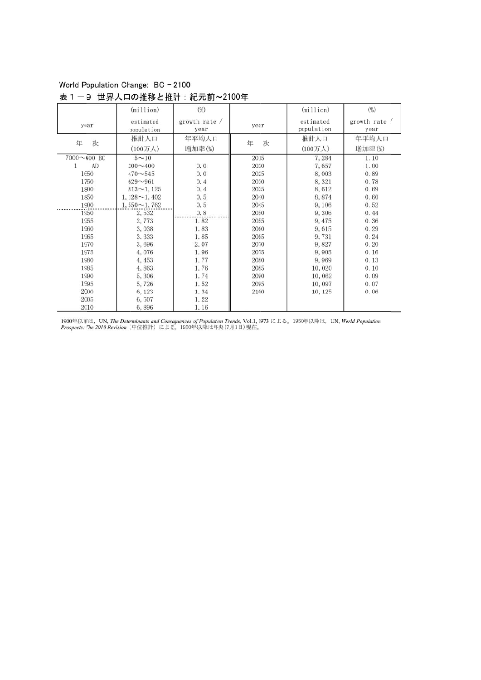# World Population Change: BC - 2100

### 表1-9 世界人口の推移と推計:紀元前~2100年

|                 | (million)               | $(\%)$                |        | (million)               | $(\%)$                |
|-----------------|-------------------------|-----------------------|--------|-------------------------|-----------------------|
| year            | estimated<br>population | growth rate /<br>year | year   | estimated<br>population | growth rate /<br>year |
| 次<br>年          | 推計人口                    | 年平均人口                 | 次<br>年 | 推計人口                    | 年平均人口                 |
|                 | (100万人)                 | 增加率(%)                |        | (100万人)                 | 増加率(%)                |
| $7000 - 600$ BC | $5 - 10$                |                       | 2015   | 7,284                   | 1.10                  |
| AD<br>1         | $200 - 400$             | 0.0                   | 2020   | 7,657                   | 1.00                  |
| 1650            | $470 - 545$             | 0.0                   | 2025   | 8,003                   | 0.89                  |
| 1750            | $629 - 961$             | 0.4                   | 2030   | 8,321                   | 0.78                  |
| 1800            | $813 - 1, 125$          | 0.4                   | 2035   | 8,612                   | 0.69                  |
| 1850            | $1,128 \sim 1,402$      | 0.5                   | 2040   | 8,874                   | 0.60                  |
| 1900            | $1,550 \sim 1,762$      | 0.5                   | 2045   | 9,106                   | 0.52                  |
| 1950            | 2,532                   | 0.8                   | 2050   | 9,306                   | 0.44                  |
| 1955            | 2,773                   | 1.82                  | 2055   | 9,475                   | 0.36                  |
| 1960            | 3,038                   | 1.83                  | 2060   | 9,615                   | 0.29                  |
| 1965            | 3,333                   | 1.85                  | 2065   | 9,731                   | 0.24                  |
| 1970            | 3,696                   | 2.07                  | 2070   | 9,827                   | 0.20                  |
| 1975            | 4,076                   | 1.96                  | 2075   | 9,905                   | 0.16                  |
| 1980            | 4,453                   | 1.77                  | 2080   | 9,969                   | 0.13                  |
| 1985            | 4,863                   | 1.76                  | 2085   | 10,020                  | 0.10                  |
| 1990            | 5,306                   | 1.74                  | 2090   | 10,062                  | 0.09                  |
| 1995            | 5,726                   | 1.52                  | 2095   | 10,097                  | 0.07                  |
| 2000            | 6, 123                  | 1.34                  | 2100   | 10, 125                 | 0.06                  |
| 2005            | 6,507                   | 1.22                  |        |                         |                       |
| 2010            | 6,896                   | 1.16                  |        |                         |                       |

1900年以前は,UN, *The Determinants and Consequences of Populaton Trends*, Vol.1, 1973 による。1950年以降は,UN, World Population<br>*Prospects: The 2010 Revision*(中位推計)による。1950年以降は年央(7月1日)現在。